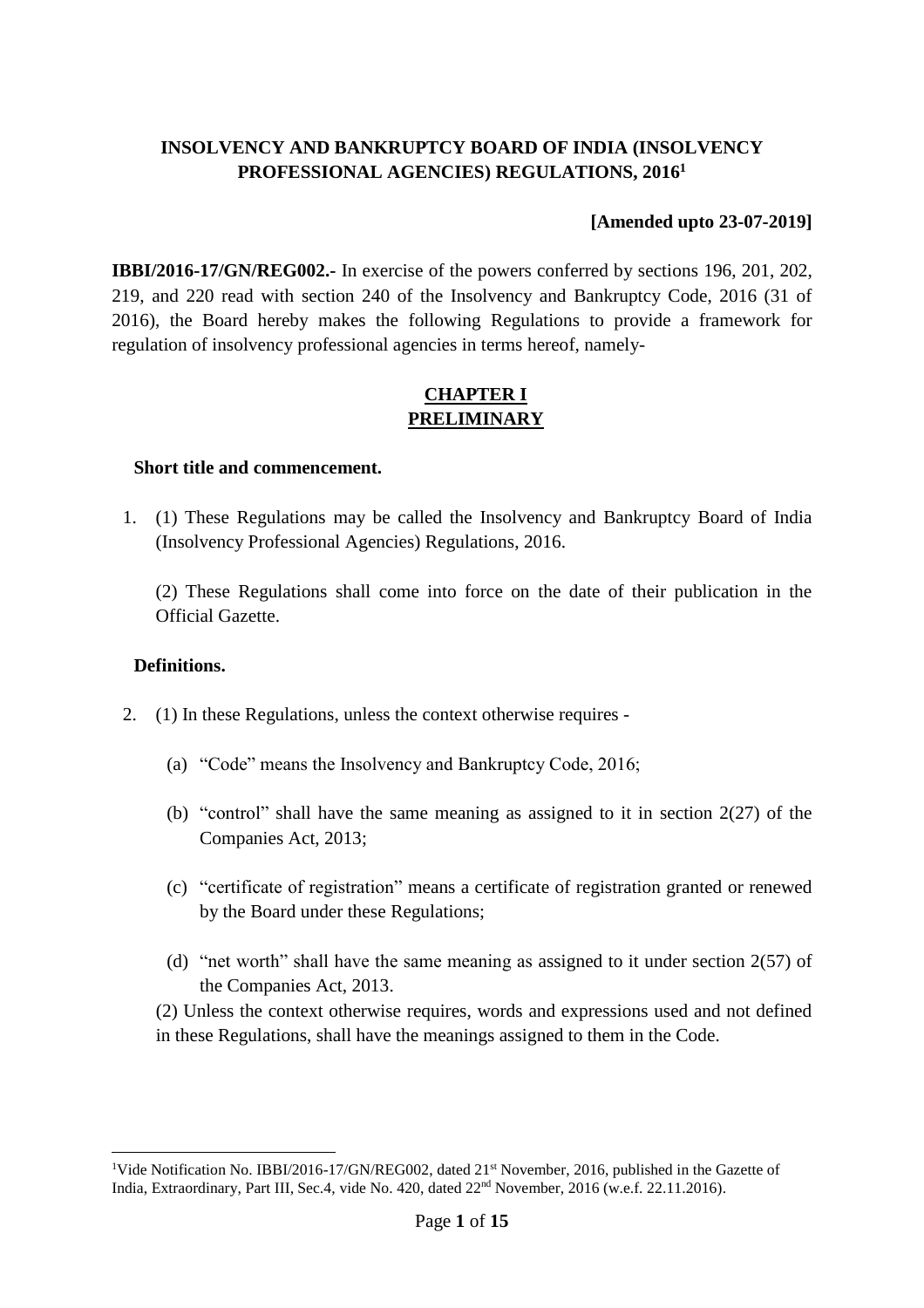## **INSOLVENCY AND BANKRUPTCY BOARD OF INDIA (INSOLVENCY PROFESSIONAL AGENCIES) REGULATIONS, 2016<sup>1</sup>**

### **[Amended upto 23-07-2019]**

**IBBI/2016-17/GN/REG002.-** In exercise of the powers conferred by sections 196, 201, 202, 219, and 220 read with section 240 of the Insolvency and Bankruptcy Code, 2016 (31 of 2016), the Board hereby makes the following Regulations to provide a framework for regulation of insolvency professional agencies in terms hereof, namely-

## **CHAPTER I PRELIMINARY**

#### **Short title and commencement.**

1. (1) These Regulations may be called the Insolvency and Bankruptcy Board of India (Insolvency Professional Agencies) Regulations, 2016.

(2) These Regulations shall come into force on the date of their publication in the Official Gazette.

#### **Definitions.**

 $\overline{a}$ 

- 2. (1) In these Regulations, unless the context otherwise requires
	- (a) "Code" means the Insolvency and Bankruptcy Code, 2016;
	- (b) "control" shall have the same meaning as assigned to it in section  $2(27)$  of the Companies Act, 2013;
	- (c) "certificate of registration" means a certificate of registration granted or renewed by the Board under these Regulations;
	- (d) "net worth" shall have the same meaning as assigned to it under section  $2(57)$  of the Companies Act, 2013.

(2) Unless the context otherwise requires, words and expressions used and not defined in these Regulations, shall have the meanings assigned to them in the Code.

<sup>&</sup>lt;sup>1</sup>Vide Notification No. IBBI/2016-17/GN/REG002, dated 21<sup>st</sup> November, 2016, published in the Gazette of India, Extraordinary, Part III, Sec.4, vide No. 420, dated  $22<sup>nd</sup>$  November, 2016 (w.e.f. 22.11.2016).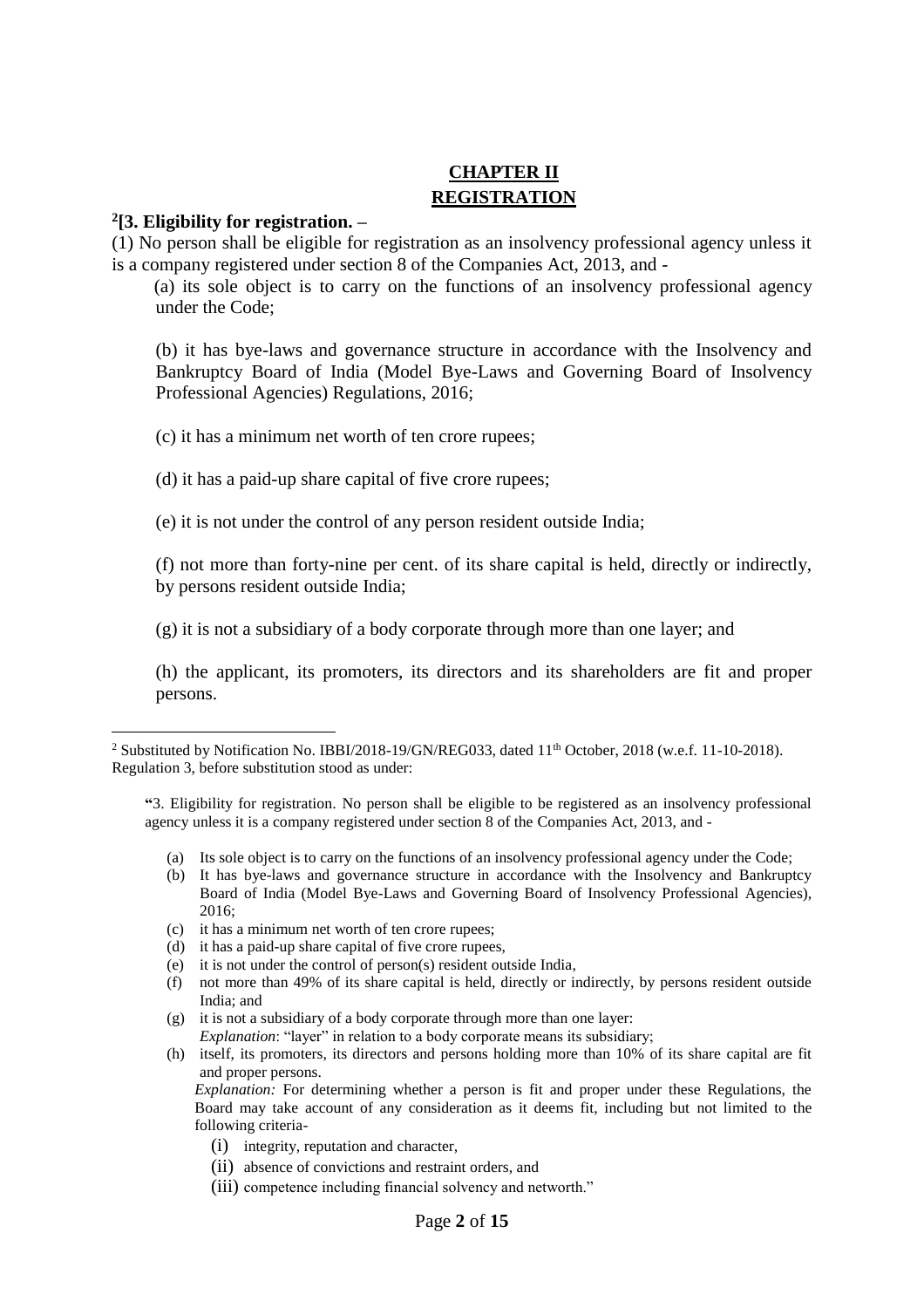# **CHAPTER II REGISTRATION**

#### **2 [3. Eligibility for registration. –**

 $\overline{a}$ 

(1) No person shall be eligible for registration as an insolvency professional agency unless it is a company registered under section 8 of the Companies Act, 2013, and -

 (a) its sole object is to carry on the functions of an insolvency professional agency under the Code;

(b) it has bye-laws and governance structure in accordance with the Insolvency and Bankruptcy Board of India (Model Bye-Laws and Governing Board of Insolvency Professional Agencies) Regulations, 2016;

(c) it has a minimum net worth of ten crore rupees;

(d) it has a paid-up share capital of five crore rupees;

(e) it is not under the control of any person resident outside India;

(f) not more than forty-nine per cent. of its share capital is held, directly or indirectly, by persons resident outside India;

(g) it is not a subsidiary of a body corporate through more than one layer; and

(h) the applicant, its promoters, its directors and its shareholders are fit and proper persons.

- (a) Its sole object is to carry on the functions of an insolvency professional agency under the Code;
- (b) It has bye-laws and governance structure in accordance with the Insolvency and Bankruptcy Board of India (Model Bye-Laws and Governing Board of Insolvency Professional Agencies), 2016;
- (c) it has a minimum net worth of ten crore rupees;
- (d) it has a paid-up share capital of five crore rupees,
- (e) it is not under the control of person(s) resident outside India,
- (f) not more than 49% of its share capital is held, directly or indirectly, by persons resident outside India; and
- (g) it is not a subsidiary of a body corporate through more than one layer: *Explanation*: "layer" in relation to a body corporate means its subsidiary;
- (h) itself, its promoters, its directors and persons holding more than 10% of its share capital are fit and proper persons.

*Explanation:* For determining whether a person is fit and proper under these Regulations, the Board may take account of any consideration as it deems fit, including but not limited to the following criteria-

- (i) integrity, reputation and character,
- (ii) absence of convictions and restraint orders, and
- (iii) competence including financial solvency and networth."

<sup>&</sup>lt;sup>2</sup> Substituted by Notification No. IBBI/2018-19/GN/REG033, dated 11<sup>th</sup> October, 2018 (w.e.f. 11-10-2018). Regulation 3, before substitution stood as under:

**<sup>&</sup>quot;**3. Eligibility for registration. No person shall be eligible to be registered as an insolvency professional agency unless it is a company registered under section 8 of the Companies Act, 2013, and -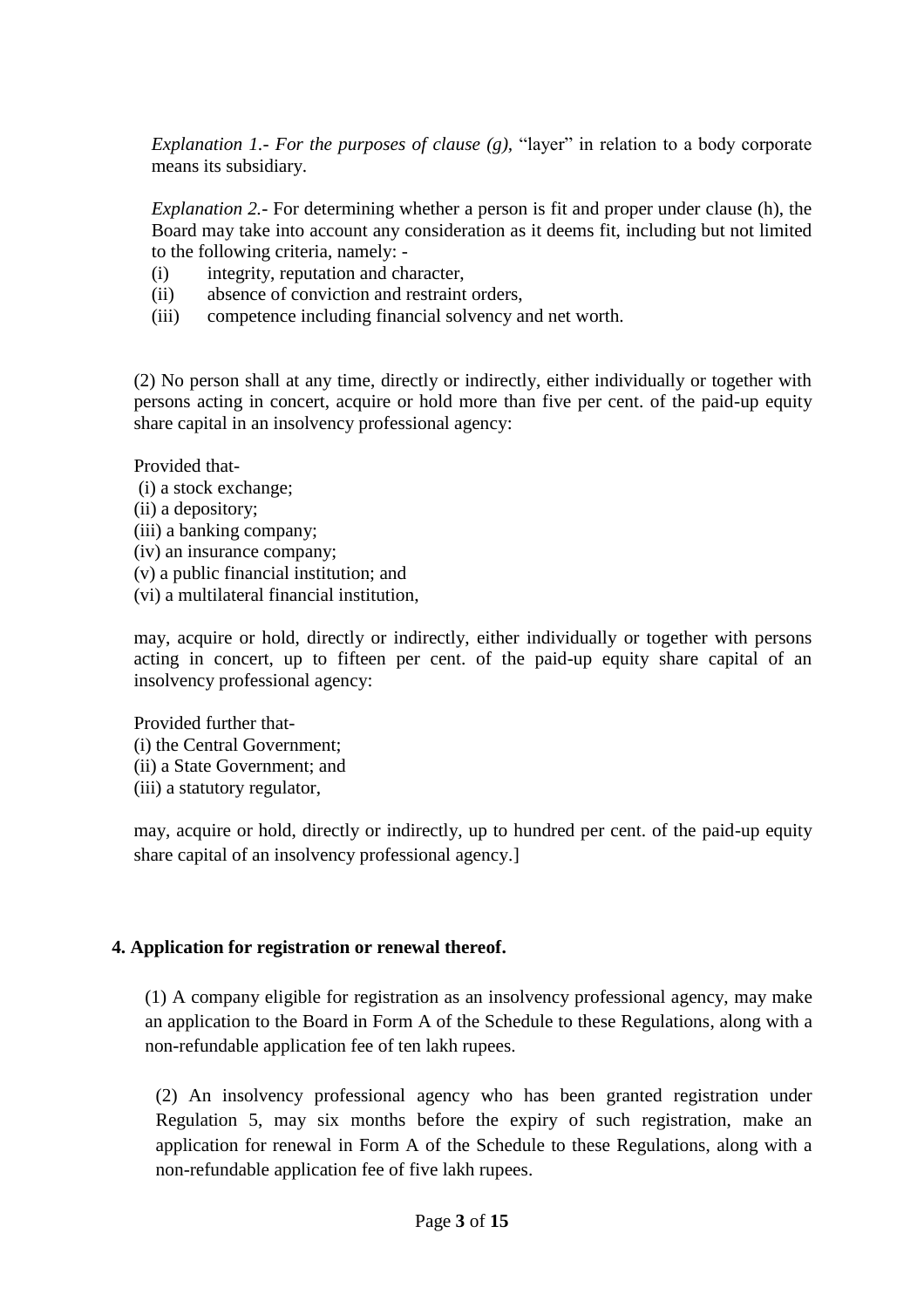*Explanation 1.- For the purposes of clause (g),* "layer" in relation to a body corporate means its subsidiary.

*Explanation 2.-* For determining whether a person is fit and proper under clause (h), the Board may take into account any consideration as it deems fit, including but not limited to the following criteria, namely: -

- (i) integrity, reputation and character,
- (ii) absence of conviction and restraint orders,
- (iii) competence including financial solvency and net worth.

(2) No person shall at any time, directly or indirectly, either individually or together with persons acting in concert, acquire or hold more than five per cent. of the paid-up equity share capital in an insolvency professional agency:

Provided that-

- (i) a stock exchange;
- (ii) a depository;
- (iii) a banking company;
- (iv) an insurance company;
- (v) a public financial institution; and
- (vi) a multilateral financial institution,

may, acquire or hold, directly or indirectly, either individually or together with persons acting in concert, up to fifteen per cent. of the paid-up equity share capital of an insolvency professional agency:

Provided further that- (i) the Central Government; (ii) a State Government; and (iii) a statutory regulator,

may, acquire or hold, directly or indirectly, up to hundred per cent. of the paid-up equity share capital of an insolvency professional agency.]

### **4. Application for registration or renewal thereof.**

(1) A company eligible for registration as an insolvency professional agency, may make an application to the Board in Form A of the Schedule to these Regulations, along with a non-refundable application fee of ten lakh rupees.

(2) An insolvency professional agency who has been granted registration under Regulation 5, may six months before the expiry of such registration, make an application for renewal in Form A of the Schedule to these Regulations, along with a non-refundable application fee of five lakh rupees.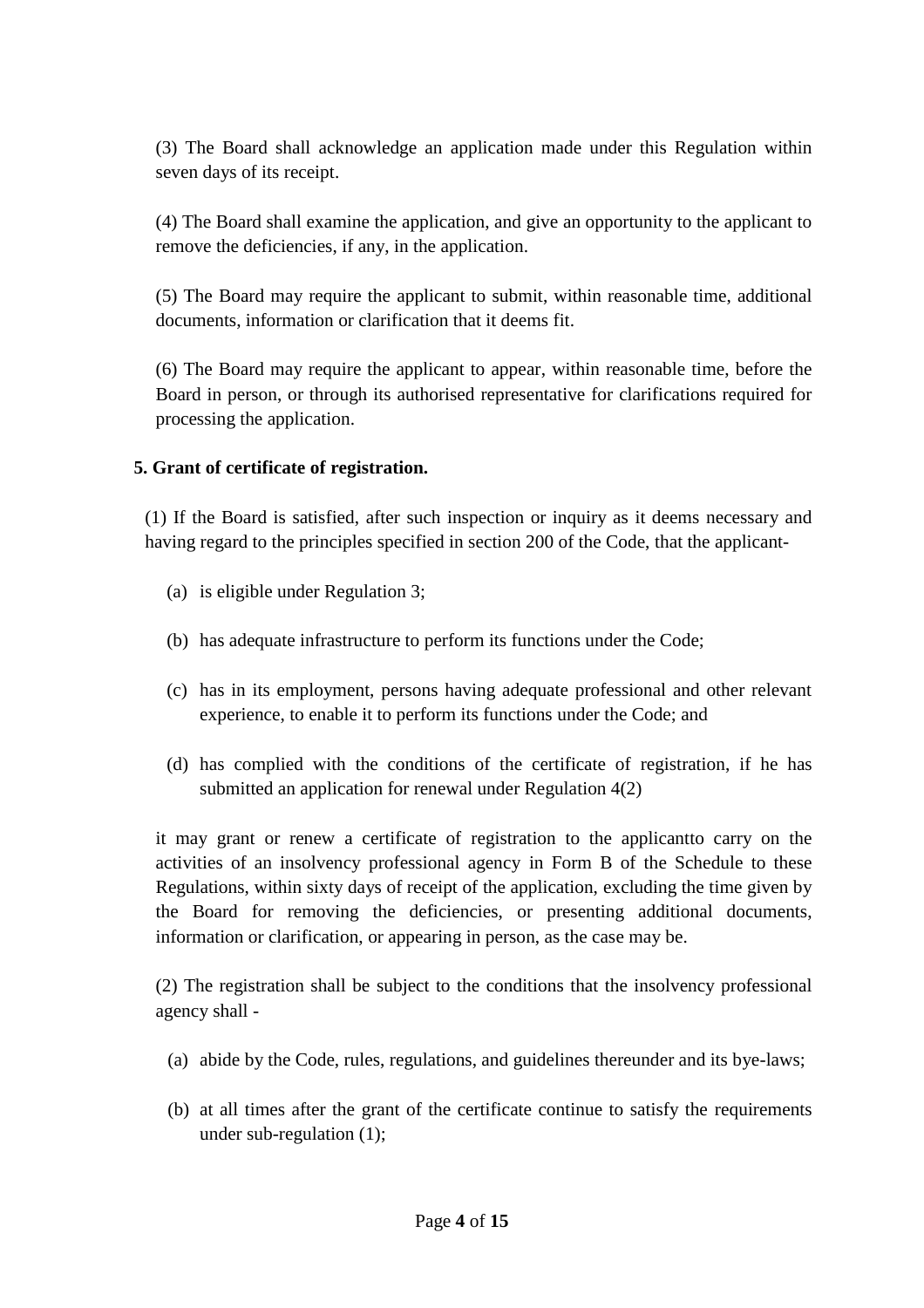(3) The Board shall acknowledge an application made under this Regulation within seven days of its receipt.

(4) The Board shall examine the application, and give an opportunity to the applicant to remove the deficiencies, if any, in the application.

(5) The Board may require the applicant to submit, within reasonable time, additional documents, information or clarification that it deems fit.

(6) The Board may require the applicant to appear, within reasonable time, before the Board in person, or through its authorised representative for clarifications required for processing the application.

## **5. Grant of certificate of registration.**

(1) If the Board is satisfied, after such inspection or inquiry as it deems necessary and having regard to the principles specified in section 200 of the Code, that the applicant-

- (a) is eligible under Regulation 3;
- (b) has adequate infrastructure to perform its functions under the Code;
- (c) has in its employment, persons having adequate professional and other relevant experience, to enable it to perform its functions under the Code; and
- (d) has complied with the conditions of the certificate of registration, if he has submitted an application for renewal under Regulation 4(2)

it may grant or renew a certificate of registration to the applicantto carry on the activities of an insolvency professional agency in Form B of the Schedule to these Regulations, within sixty days of receipt of the application, excluding the time given by the Board for removing the deficiencies, or presenting additional documents, information or clarification, or appearing in person, as the case may be.

(2) The registration shall be subject to the conditions that the insolvency professional agency shall -

- (a) abide by the Code, rules, regulations, and guidelines thereunder and its bye-laws;
- (b) at all times after the grant of the certificate continue to satisfy the requirements under sub-regulation (1);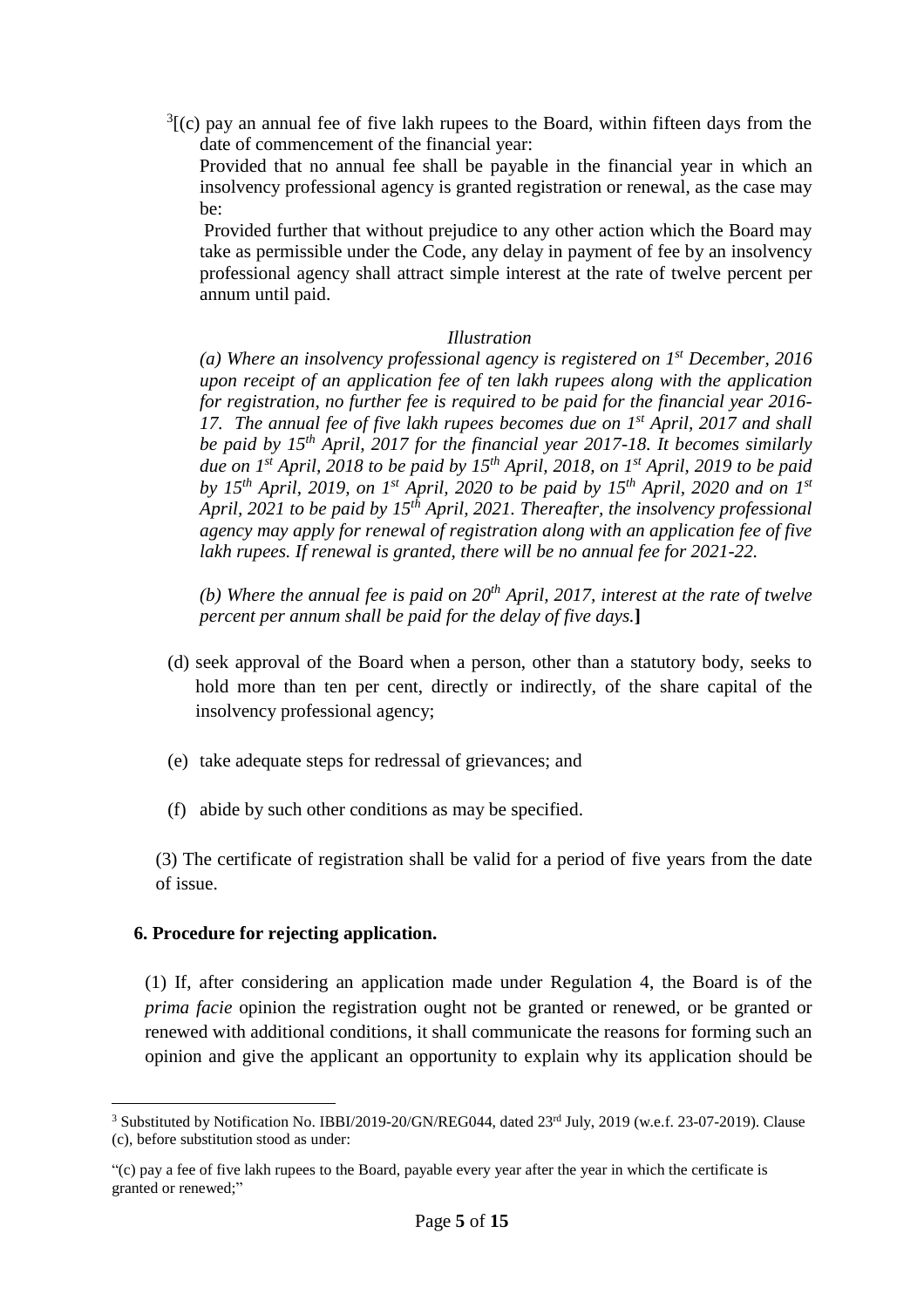$3$ [(c) pay an annual fee of five lakh rupees to the Board, within fifteen days from the date of commencement of the financial year:

 Provided that no annual fee shall be payable in the financial year in which an insolvency professional agency is granted registration or renewal, as the case may be:

 Provided further that without prejudice to any other action which the Board may take as permissible under the Code, any delay in payment of fee by an insolvency professional agency shall attract simple interest at the rate of twelve percent per annum until paid.

#### *Illustration*

*(a) Where an insolvency professional agency is registered on 1st December, 2016 upon receipt of an application fee of ten lakh rupees along with the application for registration, no further fee is required to be paid for the financial year 2016- 17. The annual fee of five lakh rupees becomes due on 1st April, 2017 and shall be paid by 15th April, 2017 for the financial year 2017-18. It becomes similarly due on 1st April, 2018 to be paid by 15th April, 2018, on 1st April, 2019 to be paid by 15<sup>th</sup> April, 2019, on 1<sup>st</sup> April, 2020 to be paid by 15<sup>th</sup> April, 2020 and on 1<sup>st</sup> April, 2021 to be paid by 15th April, 2021. Thereafter, the insolvency professional agency may apply for renewal of registration along with an application fee of five*  lakh rupees. If renewal is granted, there will be no annual fee for 2021-22.

*(b) Where the annual fee is paid on 20th April, 2017, interest at the rate of twelve percent per annum shall be paid for the delay of five days.***]**

- (d) seek approval of the Board when a person, other than a statutory body, seeks to hold more than ten per cent, directly or indirectly, of the share capital of the insolvency professional agency;
- (e) take adequate steps for redressal of grievances; and
- (f) abide by such other conditions as may be specified.

(3) The certificate of registration shall be valid for a period of five years from the date of issue.

#### **6. Procedure for rejecting application.**

(1) If, after considering an application made under Regulation 4, the Board is of the *prima facie* opinion the registration ought not be granted or renewed, or be granted or renewed with additional conditions, it shall communicate the reasons for forming such an opinion and give the applicant an opportunity to explain why its application should be

 $\overline{a}$ <sup>3</sup> Substituted by Notification No. IBBI/2019-20/GN/REG044, dated 23<sup>rd</sup> July, 2019 (w.e.f. 23-07-2019). Clause (c), before substitution stood as under:

<sup>&</sup>quot;(c) pay a fee of five lakh rupees to the Board, payable every year after the year in which the certificate is granted or renewed;"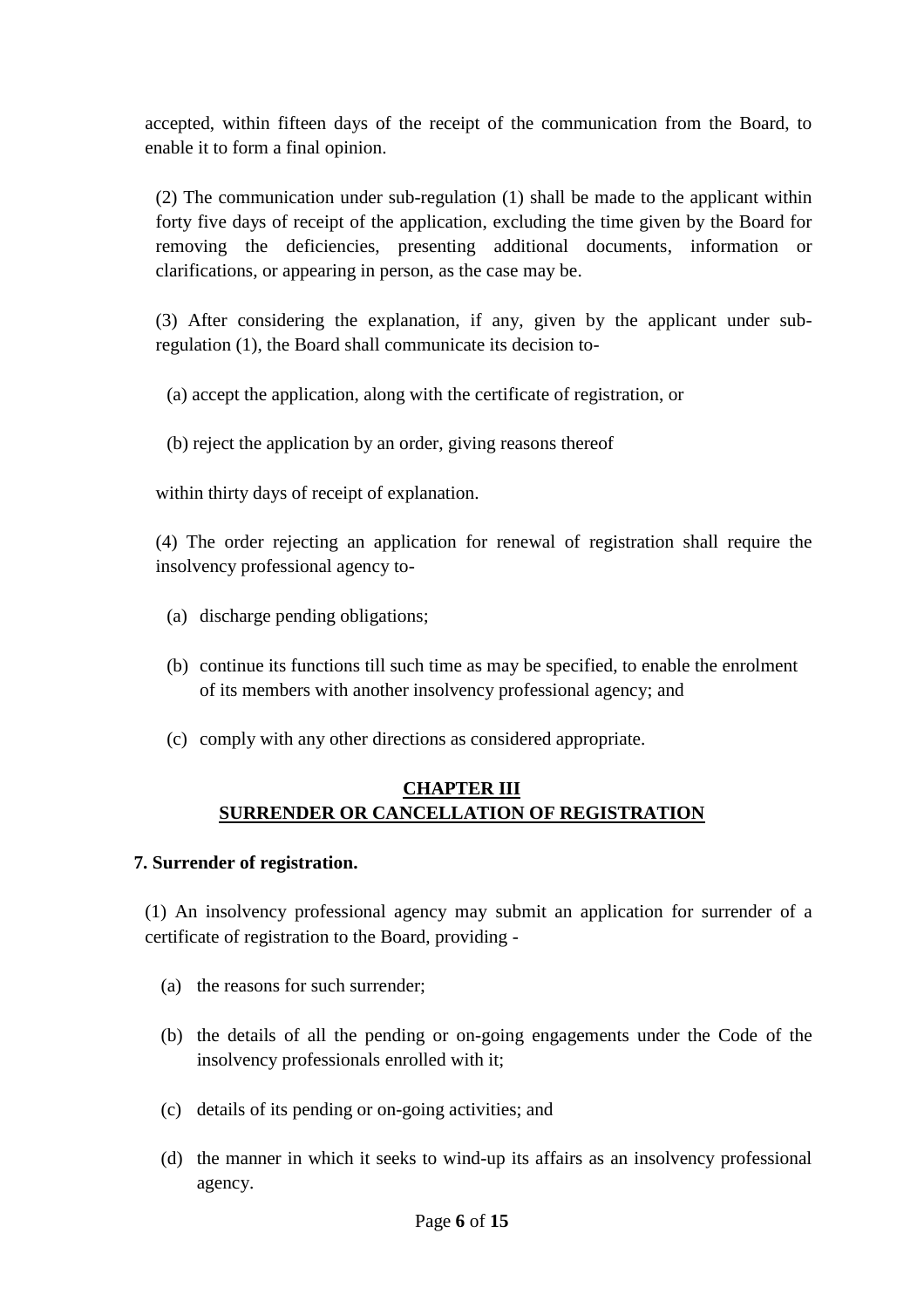accepted, within fifteen days of the receipt of the communication from the Board, to enable it to form a final opinion.

(2) The communication under sub-regulation (1) shall be made to the applicant within forty five days of receipt of the application, excluding the time given by the Board for removing the deficiencies, presenting additional documents, information or clarifications, or appearing in person, as the case may be.

(3) After considering the explanation, if any, given by the applicant under subregulation (1), the Board shall communicate its decision to-

- (a) accept the application, along with the certificate of registration, or
- (b) reject the application by an order, giving reasons thereof

within thirty days of receipt of explanation.

(4) The order rejecting an application for renewal of registration shall require the insolvency professional agency to-

- (a) discharge pending obligations;
- (b) continue its functions till such time as may be specified, to enable the enrolment of its members with another insolvency professional agency; and
- (c) comply with any other directions as considered appropriate.

## **CHAPTER III SURRENDER OR CANCELLATION OF REGISTRATION**

### **7. Surrender of registration.**

(1) An insolvency professional agency may submit an application for surrender of a certificate of registration to the Board, providing -

- (a) the reasons for such surrender;
- (b) the details of all the pending or on-going engagements under the Code of the insolvency professionals enrolled with it;
- (c) details of its pending or on-going activities; and
- (d) the manner in which it seeks to wind-up its affairs as an insolvency professional agency.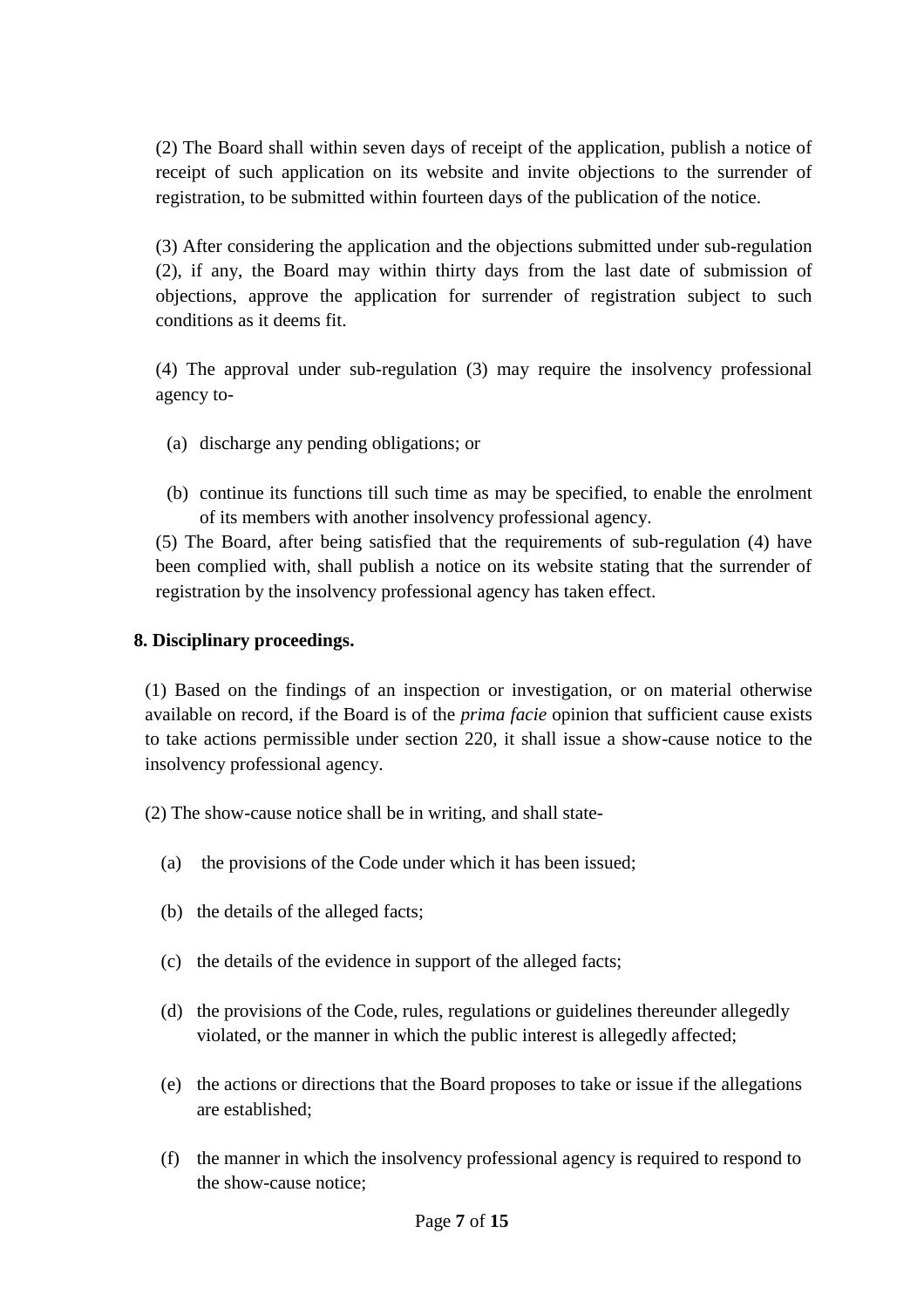(2) The Board shall within seven days of receipt of the application, publish a notice of receipt of such application on its website and invite objections to the surrender of registration, to be submitted within fourteen days of the publication of the notice.

(3) After considering the application and the objections submitted under sub-regulation (2), if any, the Board may within thirty days from the last date of submission of objections, approve the application for surrender of registration subject to such conditions as it deems fit.

(4) The approval under sub-regulation (3) may require the insolvency professional agency to-

- (a) discharge any pending obligations; or
- (b) continue its functions till such time as may be specified, to enable the enrolment of its members with another insolvency professional agency.

(5) The Board, after being satisfied that the requirements of sub-regulation (4) have been complied with, shall publish a notice on its website stating that the surrender of registration by the insolvency professional agency has taken effect.

## **8. Disciplinary proceedings.**

(1) Based on the findings of an inspection or investigation, or on material otherwise available on record, if the Board is of the *prima facie* opinion that sufficient cause exists to take actions permissible under section 220, it shall issue a show-cause notice to the insolvency professional agency.

- (2) The show-cause notice shall be in writing, and shall state-
	- (a) the provisions of the Code under which it has been issued;
	- (b) the details of the alleged facts;
	- (c) the details of the evidence in support of the alleged facts;
	- (d) the provisions of the Code, rules, regulations or guidelines thereunder allegedly violated, or the manner in which the public interest is allegedly affected;
	- (e) the actions or directions that the Board proposes to take or issue if the allegations are established;
	- (f) the manner in which the insolvency professional agency is required to respond to the show-cause notice;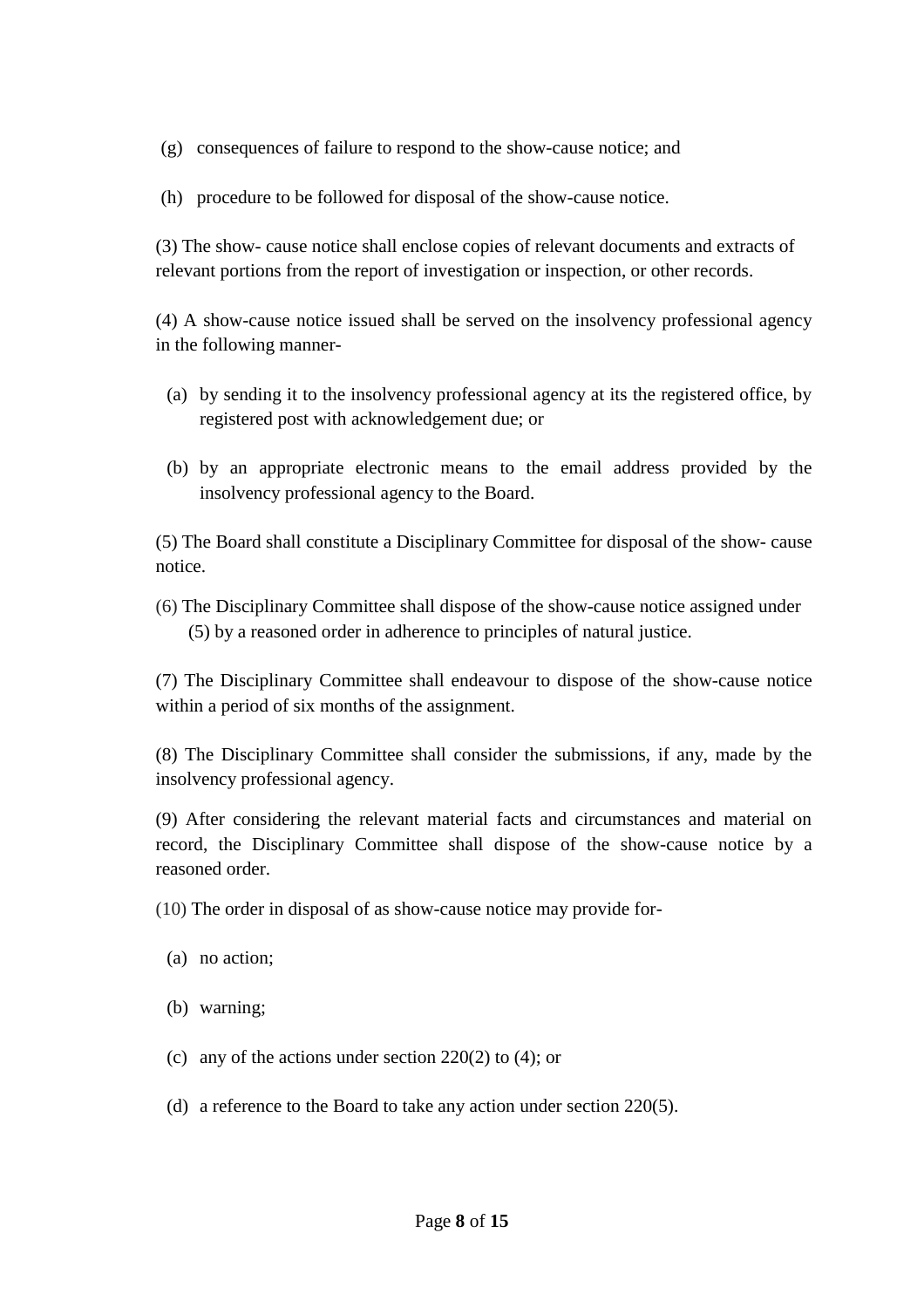(g) consequences of failure to respond to the show-cause notice; and

(h) procedure to be followed for disposal of the show-cause notice.

(3) The show- cause notice shall enclose copies of relevant documents and extracts of relevant portions from the report of investigation or inspection, or other records.

(4) A show-cause notice issued shall be served on the insolvency professional agency in the following manner-

- (a) by sending it to the insolvency professional agency at its the registered office, by registered post with acknowledgement due; or
- (b) by an appropriate electronic means to the email address provided by the insolvency professional agency to the Board.

(5) The Board shall constitute a Disciplinary Committee for disposal of the show- cause notice.

(6) The Disciplinary Committee shall dispose of the show-cause notice assigned under (5) by a reasoned order in adherence to principles of natural justice.

(7) The Disciplinary Committee shall endeavour to dispose of the show-cause notice within a period of six months of the assignment.

(8) The Disciplinary Committee shall consider the submissions, if any, made by the insolvency professional agency.

(9) After considering the relevant material facts and circumstances and material on record, the Disciplinary Committee shall dispose of the show-cause notice by a reasoned order.

(10) The order in disposal of as show-cause notice may provide for-

- (a) no action;
- (b) warning;
- (c) any of the actions under section  $220(2)$  to (4); or
- (d) a reference to the Board to take any action under section 220(5).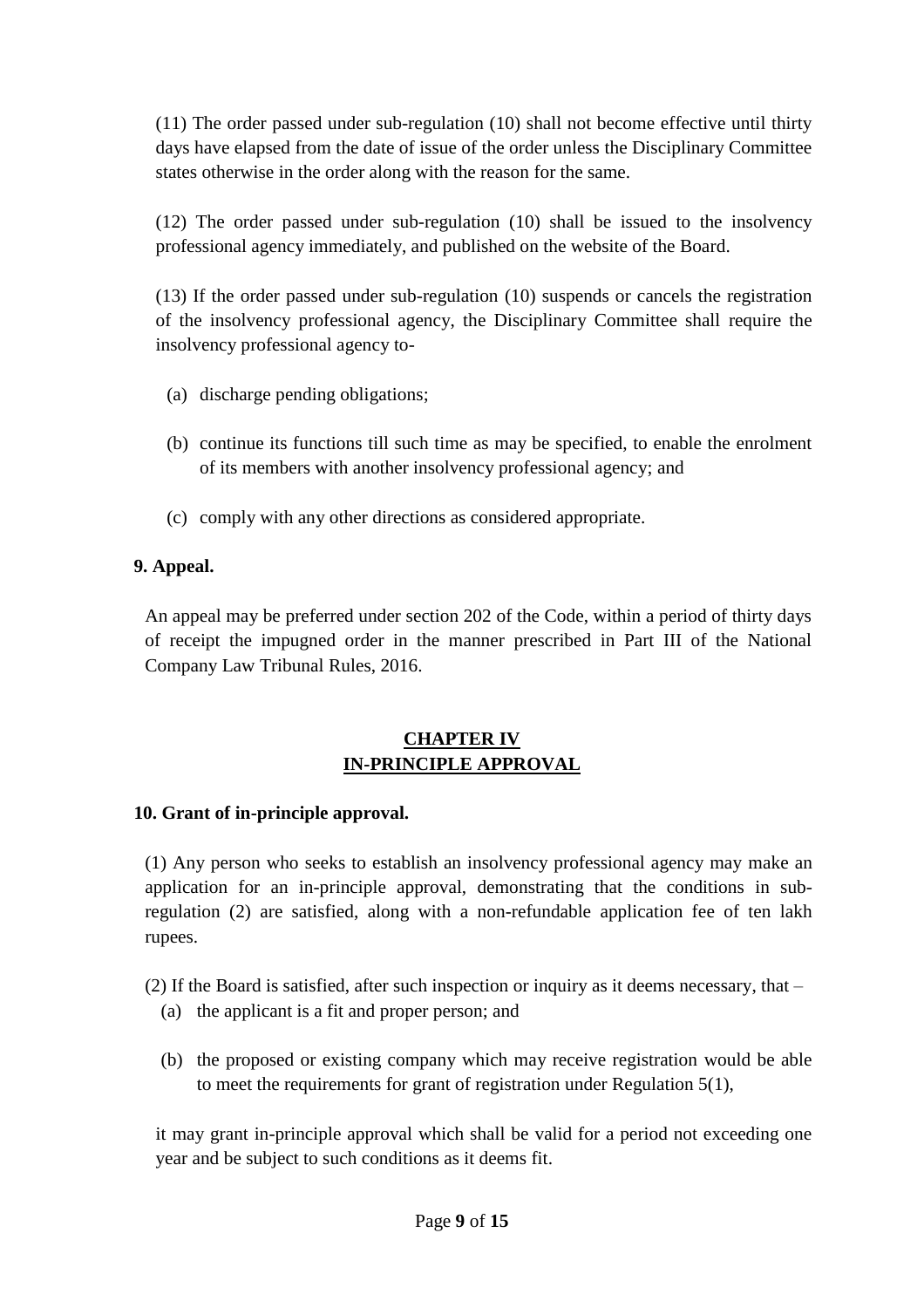(11) The order passed under sub-regulation (10) shall not become effective until thirty days have elapsed from the date of issue of the order unless the Disciplinary Committee states otherwise in the order along with the reason for the same.

(12) The order passed under sub-regulation (10) shall be issued to the insolvency professional agency immediately, and published on the website of the Board.

(13) If the order passed under sub-regulation (10) suspends or cancels the registration of the insolvency professional agency, the Disciplinary Committee shall require the insolvency professional agency to-

- (a) discharge pending obligations;
- (b) continue its functions till such time as may be specified, to enable the enrolment of its members with another insolvency professional agency; and
- (c) comply with any other directions as considered appropriate.

## **9. Appeal.**

An appeal may be preferred under section 202 of the Code, within a period of thirty days of receipt the impugned order in the manner prescribed in Part III of the National Company Law Tribunal Rules, 2016.

## **CHAPTER IV IN-PRINCIPLE APPROVAL**

### **10. Grant of in-principle approval.**

(1) Any person who seeks to establish an insolvency professional agency may make an application for an in-principle approval, demonstrating that the conditions in subregulation (2) are satisfied, along with a non-refundable application fee of ten lakh rupees.

(2) If the Board is satisfied, after such inspection or inquiry as it deems necessary, that –

- (a) the applicant is a fit and proper person; and
- (b) the proposed or existing company which may receive registration would be able to meet the requirements for grant of registration under Regulation 5(1),

it may grant in-principle approval which shall be valid for a period not exceeding one year and be subject to such conditions as it deems fit.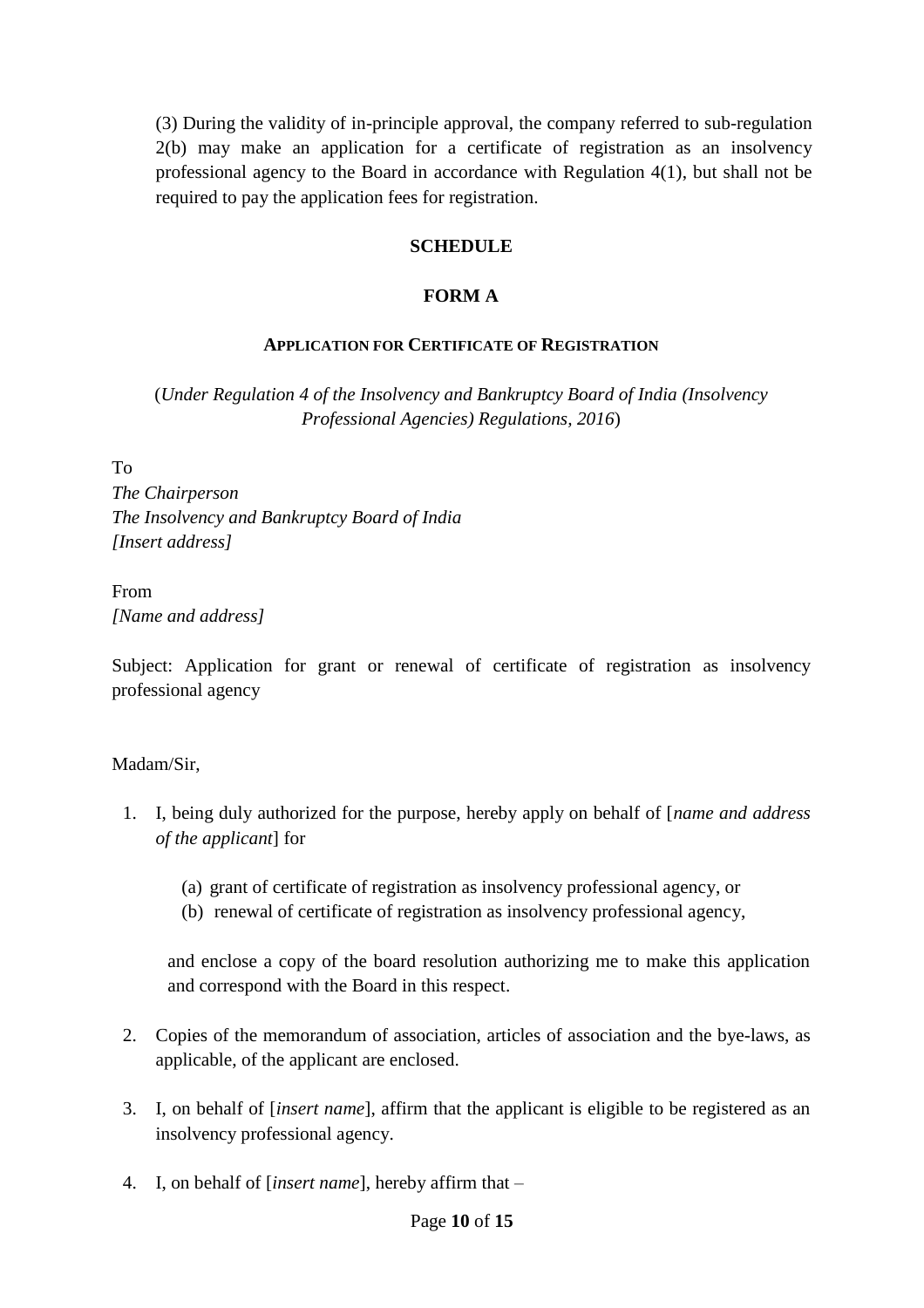(3) During the validity of in-principle approval, the company referred to sub-regulation 2(b) may make an application for a certificate of registration as an insolvency professional agency to the Board in accordance with Regulation 4(1), but shall not be required to pay the application fees for registration.

### **SCHEDULE**

### **FORM A**

## **APPLICATION FOR CERTIFICATE OF REGISTRATION**

(*Under Regulation 4 of the Insolvency and Bankruptcy Board of India (Insolvency Professional Agencies) Regulations, 2016*)

To *The Chairperson The Insolvency and Bankruptcy Board of India [Insert address]*

# From *[Name and address]*

Subject: Application for grant or renewal of certificate of registration as insolvency professional agency

## Madam/Sir,

- 1. I, being duly authorized for the purpose, hereby apply on behalf of [*name and address of the applicant*] for
	- (a) grant of certificate of registration as insolvency professional agency, or
	- (b) renewal of certificate of registration as insolvency professional agency,

and enclose a copy of the board resolution authorizing me to make this application and correspond with the Board in this respect.

- 2. Copies of the memorandum of association, articles of association and the bye-laws, as applicable, of the applicant are enclosed.
- 3. I, on behalf of [*insert name*], affirm that the applicant is eligible to be registered as an insolvency professional agency.
- 4. I, on behalf of [*insert name*], hereby affirm that –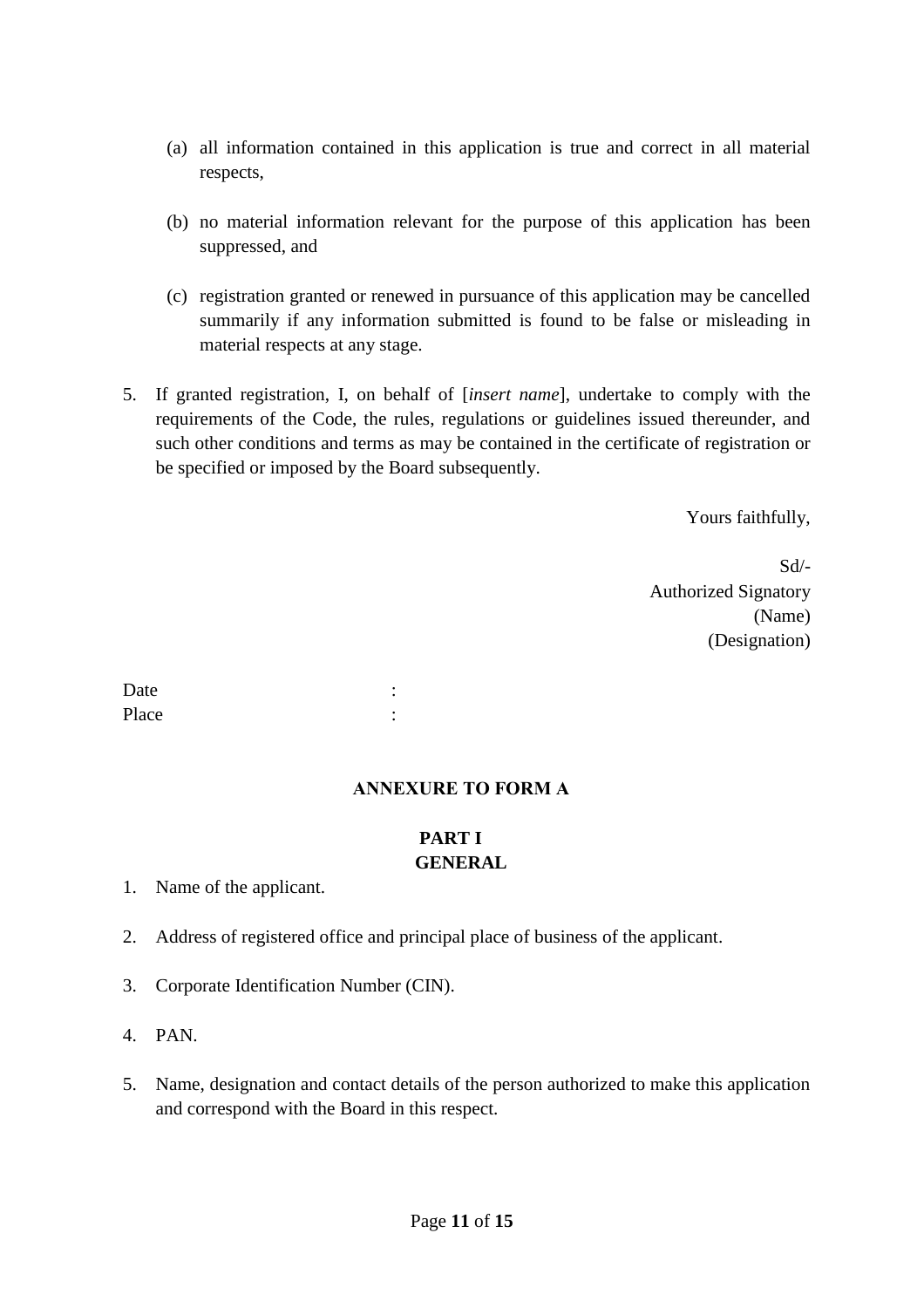- (a) all information contained in this application is true and correct in all material respects,
- (b) no material information relevant for the purpose of this application has been suppressed, and
- (c) registration granted or renewed in pursuance of this application may be cancelled summarily if any information submitted is found to be false or misleading in material respects at any stage.
- 5. If granted registration, I, on behalf of [*insert name*], undertake to comply with the requirements of the Code, the rules, regulations or guidelines issued thereunder, and such other conditions and terms as may be contained in the certificate of registration or be specified or imposed by the Board subsequently.

Yours faithfully,

Sd/- Authorized Signatory (Name) (Designation)

Date : the set of the set of the set of the set of the set of the set of the set of the set of the set of the set of the set of the set of the set of the set of the set of the set of the set of the set of the set of the se Place : the set of the set of the set of the set of the set of the set of the set of the set of the set of the set of the set of the set of the set of the set of the set of the set of the set of the set of the set of the s

### **ANNEXURE TO FORM A**

# **PART I GENERAL**

1. Name of the applicant.

- 2. Address of registered office and principal place of business of the applicant.
- 3. Corporate Identification Number (CIN).
- 4. PAN.
- 5. Name, designation and contact details of the person authorized to make this application and correspond with the Board in this respect.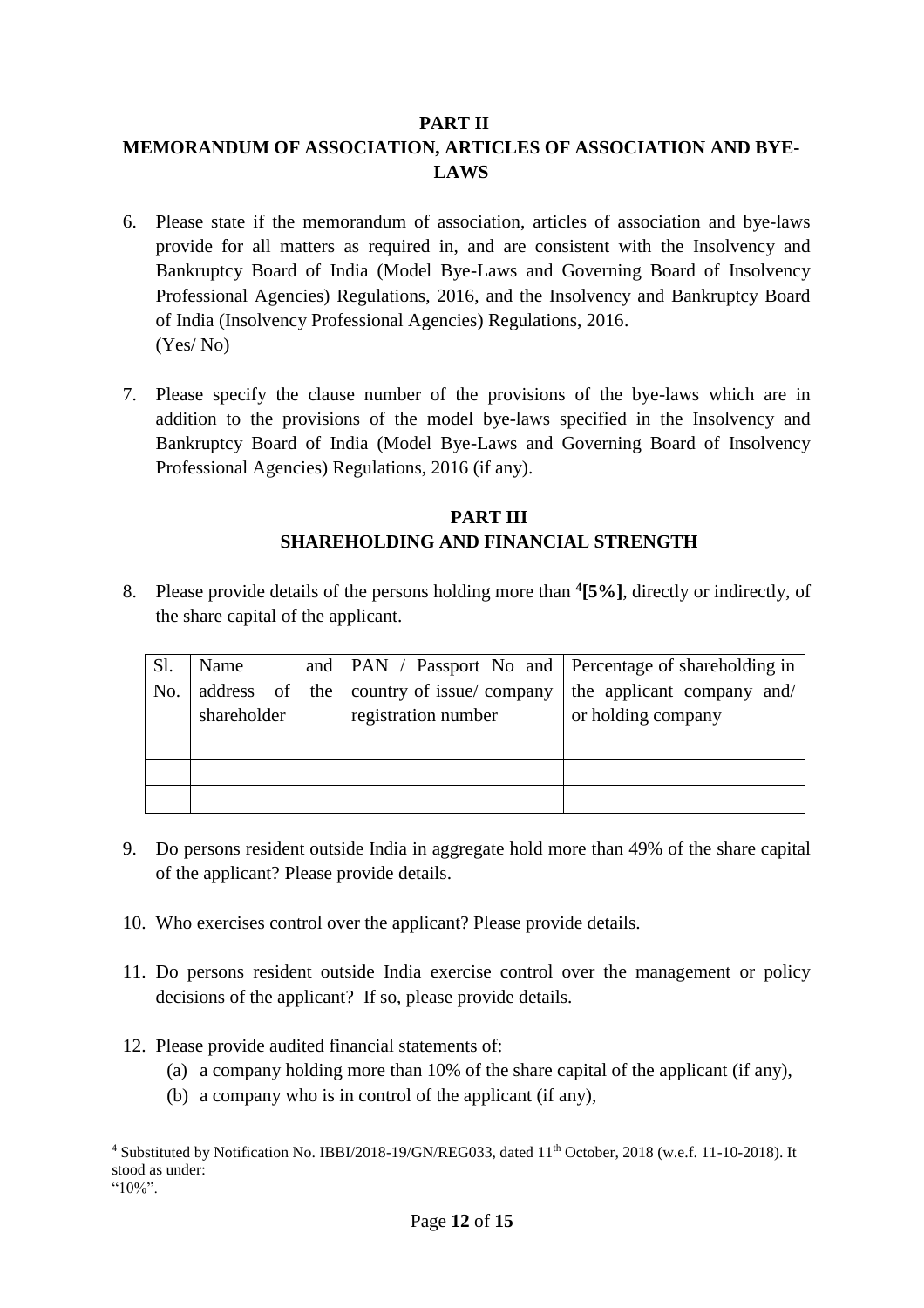### **PART II**

# **MEMORANDUM OF ASSOCIATION, ARTICLES OF ASSOCIATION AND BYE-LAWS**

- 6. Please state if the memorandum of association, articles of association and bye-laws provide for all matters as required in, and are consistent with the Insolvency and Bankruptcy Board of India (Model Bye-Laws and Governing Board of Insolvency Professional Agencies) Regulations, 2016, and the Insolvency and Bankruptcy Board of India (Insolvency Professional Agencies) Regulations, 2016. (Yes/ No)
- 7. Please specify the clause number of the provisions of the bye-laws which are in addition to the provisions of the model bye-laws specified in the Insolvency and Bankruptcy Board of India (Model Bye-Laws and Governing Board of Insolvency Professional Agencies) Regulations, 2016 (if any).

## **PART III SHAREHOLDING AND FINANCIAL STRENGTH**

8. Please provide details of the persons holding more than **<sup>4</sup> [5%]**, directly or indirectly, of the share capital of the applicant.

| Sl. | Name        |  |                                         | and   PAN / Passport No and   Percentage of shareholding in |
|-----|-------------|--|-----------------------------------------|-------------------------------------------------------------|
| No. |             |  | address of the country of issue/company | the applicant company and/                                  |
|     | shareholder |  | registration number                     | or holding company                                          |
|     |             |  |                                         |                                                             |
|     |             |  |                                         |                                                             |
|     |             |  |                                         |                                                             |

- 9. Do persons resident outside India in aggregate hold more than 49% of the share capital of the applicant? Please provide details.
- 10. Who exercises control over the applicant? Please provide details.
- 11. Do persons resident outside India exercise control over the management or policy decisions of the applicant? If so, please provide details.
- 12. Please provide audited financial statements of:
	- (a) a company holding more than 10% of the share capital of the applicant (if any),
	- (b) a company who is in control of the applicant (if any),

 $\overline{a}$ 

 $4$  Substituted by Notification No. IBBI/2018-19/GN/REG033, dated  $11<sup>th</sup>$  October, 2018 (w.e.f. 11-10-2018). It stood as under:

 $410\%$ "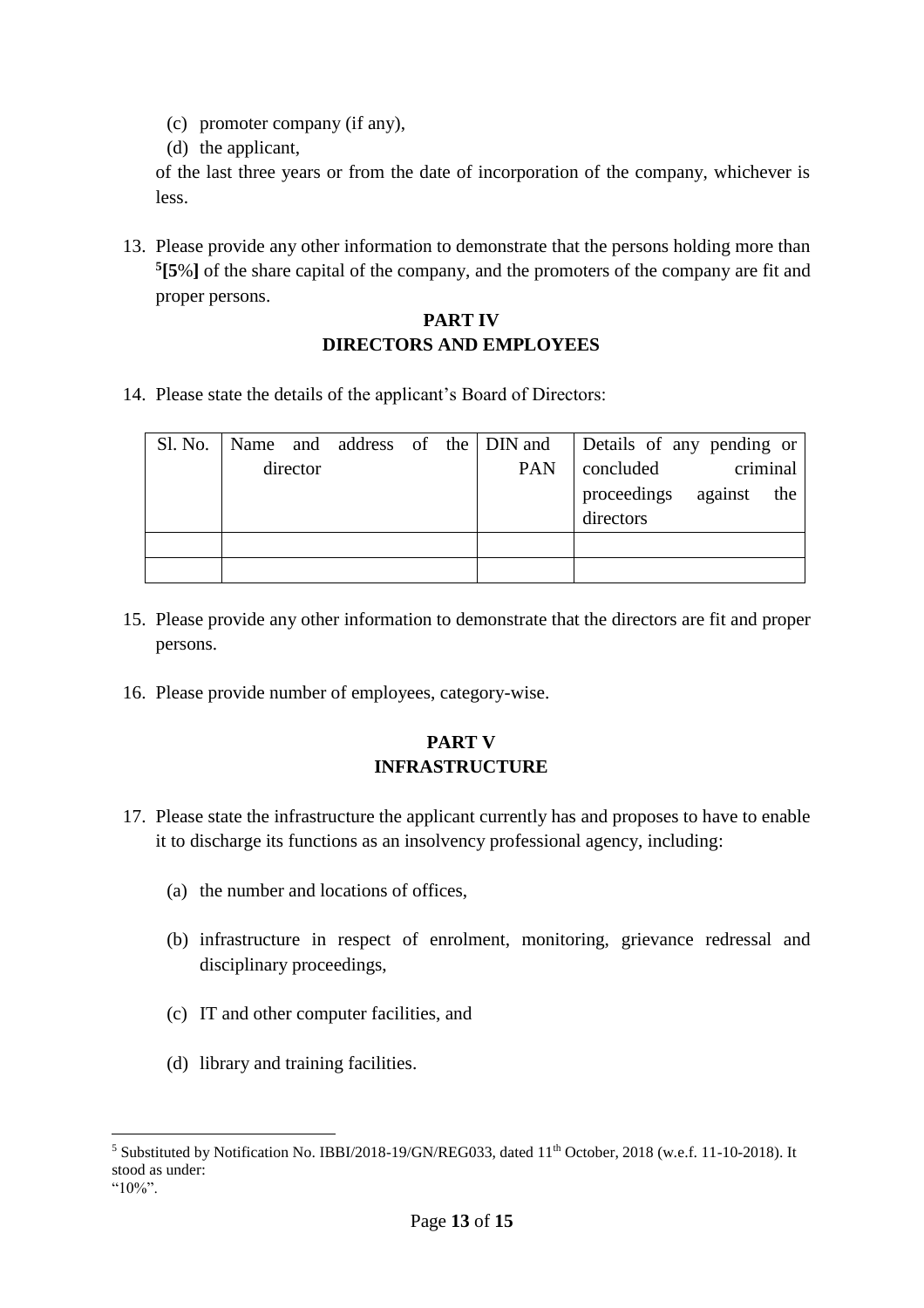- (c) promoter company (if any),
- (d) the applicant,

of the last three years or from the date of incorporation of the company, whichever is less.

13. Please provide any other information to demonstrate that the persons holding more than **5 [5**%**]** of the share capital of the company, and the promoters of the company are fit and proper persons.

## **PART IV DIRECTORS AND EMPLOYEES**

14. Please state the details of the applicant's Board of Directors:

|          |  |  |  |  |     | Sl. No.   Name and address of the   DIN and   Details of any pending or |
|----------|--|--|--|--|-----|-------------------------------------------------------------------------|
| director |  |  |  |  | PAN | criminal<br>concluded                                                   |
|          |  |  |  |  |     | proceedings<br>against the<br>directors                                 |
|          |  |  |  |  |     |                                                                         |
|          |  |  |  |  |     |                                                                         |

- 15. Please provide any other information to demonstrate that the directors are fit and proper persons.
- 16. Please provide number of employees, category-wise.

## **PART V INFRASTRUCTURE**

- 17. Please state the infrastructure the applicant currently has and proposes to have to enable it to discharge its functions as an insolvency professional agency, including:
	- (a) the number and locations of offices,
	- (b) infrastructure in respect of enrolment, monitoring, grievance redressal and disciplinary proceedings,
	- (c) IT and other computer facilities, and
	- (d) library and training facilities.

 $\overline{a}$ 

<sup>&</sup>lt;sup>5</sup> Substituted by Notification No. IBBI/2018-19/GN/REG033, dated 11<sup>th</sup> October, 2018 (w.e.f. 11-10-2018). It stood as under:

 $^{44}10\%$ "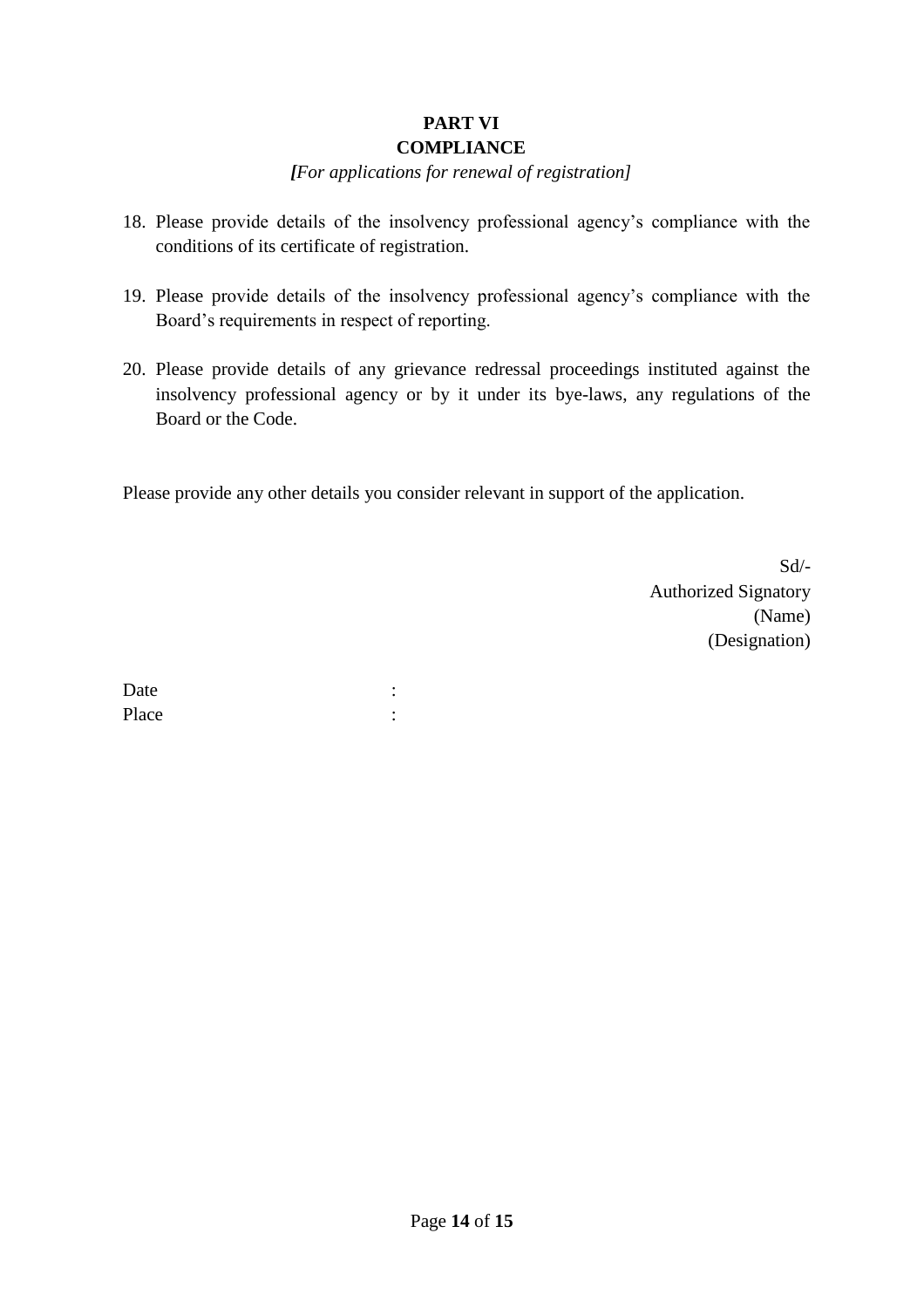#### **PART VI COMPLIANCE**

## *[For applications for renewal of registration]*

- 18. Please provide details of the insolvency professional agency's compliance with the conditions of its certificate of registration.
- 19. Please provide details of the insolvency professional agency's compliance with the Board's requirements in respect of reporting.
- 20. Please provide details of any grievance redressal proceedings instituted against the insolvency professional agency or by it under its bye-laws, any regulations of the Board or the Code.

Please provide any other details you consider relevant in support of the application.

Sd/- Authorized Signatory (Name) (Designation)

Date : the state of the state of the state of the state of the state of the state of the state of the state of the state of the state of the state of the state of the state of the state of the state of the state of the sta Place : the state of the state of the state of the state of the state of the state of the state of the state of the state of the state of the state of the state of the state of the state of the state of the state of the st